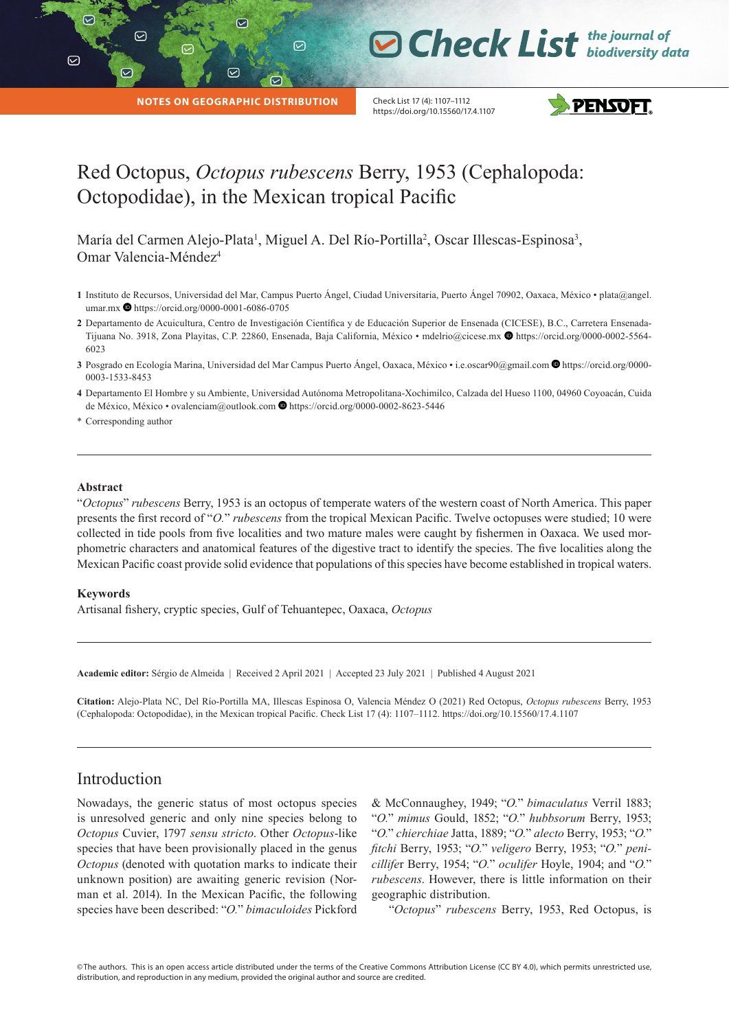**D Check List** the journal of

**NOTES ON GEOGRAPHIC DISTRIBUTION**

☑

 $\odot$ 

Check List 17 (4): 1107–1112 https://doi.org/10.15560/17.4.1107



# Red Octopus, *Octopus rubescens* Berry, 1953 (Cephalopoda: Octopodidae), in the Mexican tropical Pacific

 $\odot$ 

María del Carmen Alejo-Plata<sup>1</sup>, Miguel A. Del Río-Portilla<sup>2</sup>, Oscar Illescas-Espinosa<sup>3</sup>, Omar Valencia-Méndez<sup>4</sup>

- **1** Instituto de Recursos, Universidad del Mar, Campus Puerto Ángel, Ciudad Universitaria, Puerto Ángel 70902, Oaxaca, México plata@angel. umar.mx  $\bullet$  https://orcid.org/0000-0001-6086-0705
- **2** Departamento de Acuicultura, Centro de Investigación Científica y de Educación Superior de Ensenada (CICESE), B.C., Carretera EnsenadaTijuana No. 3918, Zona Playitas, C.P. 22860, Ensenada, Baja California, México • mdelrio@cicese.mx @ [https://orcid.org/0000-0002-5564-](https://orcid.org/0000-0002-5564-6023) [6023](https://orcid.org/0000-0002-5564-6023)
- 3 Posgrado en Ecología Marina, Universidad del Mar Campus Puerto Ángel, Oaxaca, México i.e.oscar90@gmail.com <sup>1</sup>[https://orcid.org/0000-](https://orcid.org/0000-0003-1533-8453) [0003-1533-8453](https://orcid.org/0000-0003-1533-8453)
- **4** Departamento El Hombre y su Ambiente, Universidad Autónoma Metropolitana-Xochimilco, Calzada del Hueso 1100, 04960 Coyoacán, Cuida de México, México • ovalenciam@outlook.com  $\bullet$  <https://orcid.org/0000-0002-8623-5446>

\* Corresponding author

|

 $\odot$ 

#### **Abstract**

"*Octopus*" *rubescens* Berry, 1953 is an octopus of temperate waters of the western coast of North America. This paper presents the first record of "*O.*" *rubescens* from the tropical Mexican Pacific. Twelve octopuses were studied; 10 were collected in tide pools from five localities and two mature males were caught by fishermen in Oaxaca. We used morphometric characters and anatomical features of the digestive tract to identify the species. The five localities along the Mexican Pacific coast provide solid evidence that populations of this species have become established in tropical waters.

#### **Keywords**

Artisanal fishery, cryptic species, Gulf of Tehuantepec, Oaxaca, *Octopus*

**Academic editor:** Sérgio de Almeida | Received 2 April 2021 | Accepted 23 July 2021 | Published 4 August 2021

**Citation:** Alejo-Plata NC, Del Río-Portilla MA, Illescas Espinosa O, Valencia Méndez O (2021) Red Octopus, *Octopus rubescens* Berry, 1953 (Cephalopoda: Octopodidae), in the Mexican tropical Pacific. Check List 17 (4): 1107–1112. https://doi.org/10.15560/17.4.1107

## Introduction

Nowadays, the generic status of most octopus species is unresolved generic and only nine species belong to *Octopus* Cuvier, 1797 *sensu stricto*. Other *Octopus*-like species that have been provisionally placed in the genus *Octopus* (denoted with quotation marks to indicate their unknown position) are awaiting generic revision (Norman et al. 2014). In the Mexican Pacific, the following species have been described: "*O.*" *bimaculoides* Pickford

& McConnaughey, 1949; "*O.*" *bimaculatus* Verril 1883; "*O.*" *mimus* Gould, 1852; "*O.*" *hubbsorum* Berry, 1953; "*O.*" *chierchiae* Jatta, 1889; "*O.*" *alecto* Berry, 1953; "*O.*" *fitchi* Berry, 1953; "*O.*" *veligero* Berry, 1953; "*O.*" *penicillife*r Berry, 1954; "*O.*" *oculifer* Hoyle, 1904; and "*O.*" *rubescens*. However, there is little information on their geographic distribution.

"*Octopus*" *rubescens* Berry, 1953, Red Octopus, is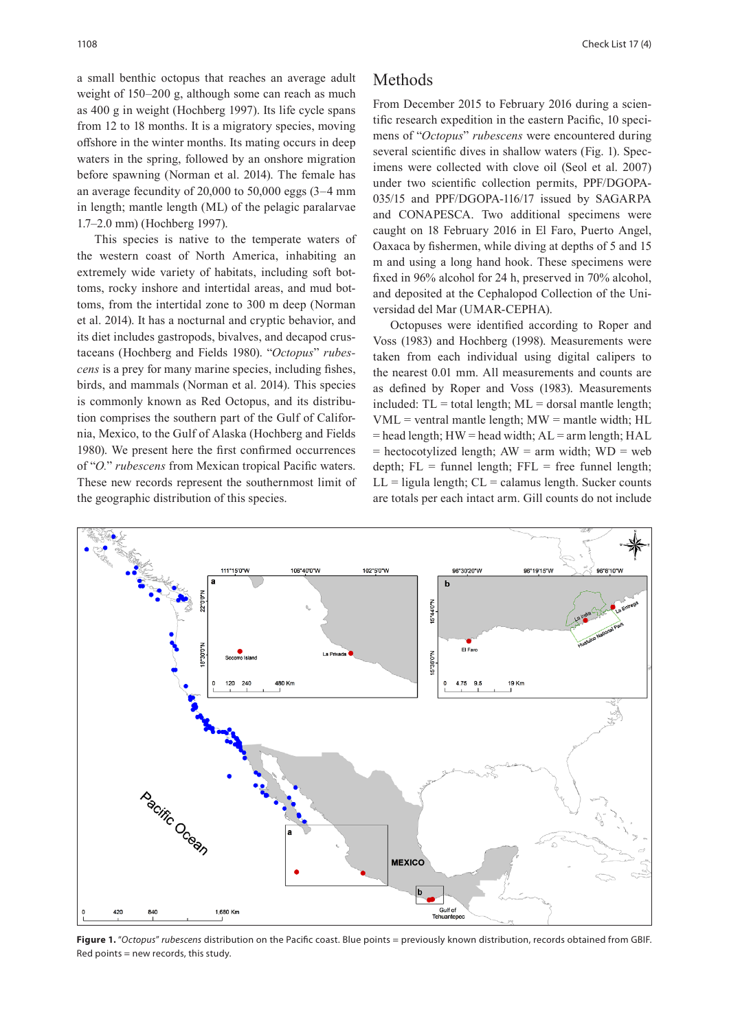a small benthic octopus that reaches an average adult weight of 150–200 g, although some can reach as much as 400 g in weight (Hochberg 1997). Its life cycle spans from 12 to 18 months. It is a migratory species, moving offshore in the winter months. Its mating occurs in deep waters in the spring, followed by an onshore migration before spawning (Norman et al. 2014). The female has an average fecundity of 20,000 to 50,000 eggs (3–4 mm in length; mantle length (ML) of the pelagic paralarvae 1.7–2.0 mm) (Hochberg 1997).

This species is native to the temperate waters of the western coast of North America, inhabiting an extremely wide variety of habitats, including soft bottoms, rocky inshore and intertidal areas, and mud bottoms, from the intertidal zone to 300 m deep (Norman et al. 2014). It has a nocturnal and cryptic behavior, and its diet includes gastropods, bivalves, and decapod crustaceans (Hochberg and Fields 1980). "*Octopus*" *rubescens* is a prey for many marine species, including fishes, birds, and mammals (Norman et al. 2014). This species is commonly known as Red Octopus, and its distribution comprises the southern part of the Gulf of California, Mexico, to the Gulf of Alaska (Hochberg and Fields 1980). We present here the first confirmed occurrences of "*O.*" *rubescens* from Mexican tropical Pacific waters. These new records represent the southernmost limit of the geographic distribution of this species.

#### Methods

From December 2015 to February 2016 during a scientific research expedition in the eastern Pacific, 10 specimens of "*Octopus*" *rubescens* were encountered during several scientific dives in shallow waters (Fig. 1). Specimens were collected with clove oil (Seol et al. 2007) under two scientific collection permits, PPF/DGOPA-035/15 and PPF/DGOPA-116/17 issued by SAGARPA and CONAPESCA. Two additional specimens were caught on 18 February 2016 in El Faro, Puerto Angel, Oaxaca by fishermen, while diving at depths of 5 and 15 m and using a long hand hook. These specimens were fixed in 96% alcohol for 24 h, preserved in 70% alcohol, and deposited at the Cephalopod Collection of the Universidad del Mar (UMAR-CEPHA).

Octopuses were identified according to Roper and Voss (1983) and Hochberg (1998). Measurements were taken from each individual using digital calipers to the nearest 0.01 mm. All measurements and counts are as defined by Roper and Voss (1983). Measurements included:  $TL = total length$ ;  $ML = dorsal$  mantle length; VML = ventral mantle length; MW = mantle width; HL  $=$  head length; HW  $=$  head width; AL  $=$  arm length; HAL  $=$  hectocotylized length; AW  $=$  arm width; WD  $=$  web depth;  $FL = funnel length$ ;  $FFL = free funnel length$ ;  $LL =$  ligula length;  $CL =$  calamus length. Sucker counts are totals per each intact arm. Gill counts do not include



**Figure 1.** "*Octopus*" *rubescens* distribution on the Pacific coast. Blue points = previously known distribution, records obtained from GBIF. Red points = new records, this study.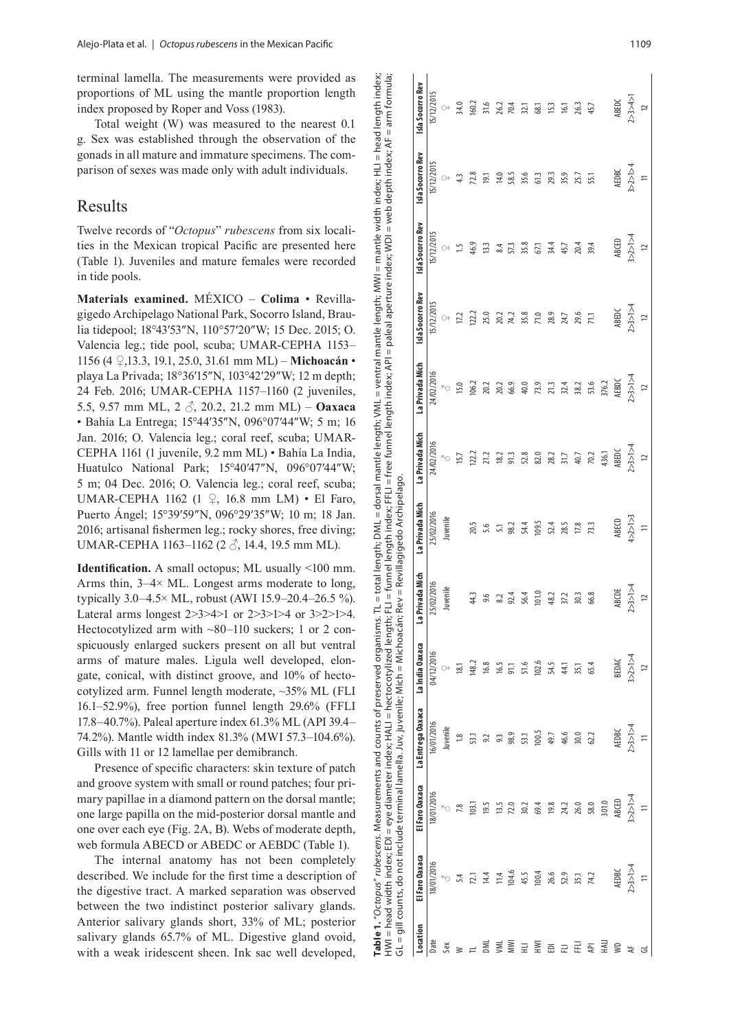terminal lamella. The measurements were provided as proportions of ML using the mantle proportion length index proposed by Roper and Voss (1983).

Total weight (W) was measured to the nearest 0.1 g. Sex was established through the observation of the gonads in all mature and immature specimens. The com parison of sexes was made only with adult individuals.

## Results

Twelve records of "Octopus" rubescens from six localities in the Mexican tropical Pacific are presented here (Table 1). Juveniles and mature females were recorded in tide pools.

**Materials examined.** MÉXICO – **Colima** • Revilla gigedo Archipelago National Park, Socorro Island, Brau lia tidepool; 18°43′53″N, 110 °57′20″W; 15 Dec. 2015; O. Valencia leg.; tide pool, scuba; UMAR-CEPHA 1153– 1156 (4 **♀**,13.3, 19.1, 25.0, 31.61 mm ML) – **Michoacán** • playa La Privada; 18°36′15″N, 103°42′29″W; 12 m depth; 24 Feb. 2016; UMAR-CEPHA 1157–1160 (2 juveniles, 5.5, 9.57 mm ML, 2 ♂, 20.2, 21.2 mm ML) – **Oaxaca** • Bahía La Entrega; 15°44′35″N, 096°07′44″W; 5 m; 16 Jan. 2016; O. Valencia leg.; coral reef, scuba; UMAR-CEPHA 1161 (1 juvenile, 9.2 mm ML) • Bahía La India, Huatulco National Park; 15°40′47″N, 096°07′44″W; 5 m; 04 Dec. 2016; O. Valencia leg.; coral reef, scuba; UMAR-CEPHA 1162 (1 ♀, 16.8 mm LM) • El Faro, Puerto Ángel; 15°39′59″N, 096 °29′35″W; 10 m; 18 Jan. 2016; artisanal fishermen leg.; rocky shores, free diving; UMAR-CEPHA 1163−1162 (2 3, 14.4, 19.5 mm ML).

**Identification.** A small octopus; ML usually <100 mm. Arms thin,  $3-4 \times$  ML. Longest arms moderate to long, typically 3.0–4.5 × ML, robust (AWI 15.9–20.4–26.5 %). Lateral arms longest 2>3>4>1 or 2>3>1>4 or 3>2>1>4. Hectocotylized arm with ~80–110 suckers; 1 or 2 conspicuously enlarged suckers present on all but ventral arms of mature males. Ligula well developed, elon gate, conical, with distinct groove, and 10% of hecto cotylized arm. Funnel length moderate, ~35% ML (FLI 16.1–52.9%), free portion funnel length 29.6% (FFLI 17.8–40.7%). Paleal aperture index 61.3% ML (API 39.4– 74.2%). Mantle width index 81.3% (MWI 57.3–104.6%). Gills with 11 or 12 lamellae per demibranch.

Presence of specific characters: skin texture of patch and groove system with small or round patches; four pri mary papillae in a diamond pattern on the dorsal mantle; one large papilla on the mid-posterior dorsal mantle and one over each eye (Fig. 2A, B). Webs of moderate depth, web formula ABECD or ABEDC or AEBDC (Table 1).

The internal anatomy has not been completely described. We include for the first time a description of the digestive tract. A marked separation was observed between the two indistinct posterior salivary glands. Anterior salivary glands short, 33% of ML; posterior salivary glands 65.7% of ML. Digestive gland ovoid, with a weak iridescent sheen. Ink sac well developed,

|                          |                                                                                                                                                                              |                | GL = gill counts, do not include terminal lamella. Juv, juvenile; Mich = Michoacán; Rev = Revillagigedo Archipelago. |                                                                                                                                                                                                                                                                                                                                                                                     |                    |                                       |                                                                                                                                                                                                                                                                                                                                                                                                                        |                                                                                                                                                                                                                                                                                             |                                                                                             |                                                             |                                                           |                                                                                                                                                                                                                                                                                                                                                                           |
|--------------------------|------------------------------------------------------------------------------------------------------------------------------------------------------------------------------|----------------|----------------------------------------------------------------------------------------------------------------------|-------------------------------------------------------------------------------------------------------------------------------------------------------------------------------------------------------------------------------------------------------------------------------------------------------------------------------------------------------------------------------------|--------------------|---------------------------------------|------------------------------------------------------------------------------------------------------------------------------------------------------------------------------------------------------------------------------------------------------------------------------------------------------------------------------------------------------------------------------------------------------------------------|---------------------------------------------------------------------------------------------------------------------------------------------------------------------------------------------------------------------------------------------------------------------------------------------|---------------------------------------------------------------------------------------------|-------------------------------------------------------------|-----------------------------------------------------------|---------------------------------------------------------------------------------------------------------------------------------------------------------------------------------------------------------------------------------------------------------------------------------------------------------------------------------------------------------------------------|
| Location                 | El Faro Oaxaca                                                                                                                                                               | El Faro Oaxaca | La Entrega Oaxaca                                                                                                    | La India Oaxaca                                                                                                                                                                                                                                                                                                                                                                     | La Privada Mich    | La Privada Mich                       | La Privada Mich                                                                                                                                                                                                                                                                                                                                                                                                        | La Privada Mich                                                                                                                                                                                                                                                                             | Isla Socorro Rev                                                                            | Isla Socorro Rev                                            | Isla Socorro Rev                                          | Isla Socorro Rev                                                                                                                                                                                                                                                                                                                                                          |
| Date                     | 18/01/2016                                                                                                                                                                   | 18/01/2016     | 16/01/2016                                                                                                           | 04/12/2016                                                                                                                                                                                                                                                                                                                                                                          | 25/02/2016         | 25/02/2016                            |                                                                                                                                                                                                                                                                                                                                                                                                                        |                                                                                                                                                                                                                                                                                             |                                                                                             |                                                             |                                                           |                                                                                                                                                                                                                                                                                                                                                                           |
| Sex                      |                                                                                                                                                                              |                | Juvenile                                                                                                             |                                                                                                                                                                                                                                                                                                                                                                                     | Juvenile           | Juvenile                              |                                                                                                                                                                                                                                                                                                                                                                                                                        |                                                                                                                                                                                                                                                                                             |                                                                                             | $\begin{array}{l} 15/12/2015 \\ \varphi \\ 1.5 \end{array}$ |                                                           |                                                                                                                                                                                                                                                                                                                                                                           |
|                          |                                                                                                                                                                              |                |                                                                                                                      |                                                                                                                                                                                                                                                                                                                                                                                     |                    |                                       |                                                                                                                                                                                                                                                                                                                                                                                                                        |                                                                                                                                                                                                                                                                                             |                                                                                             |                                                             |                                                           |                                                                                                                                                                                                                                                                                                                                                                           |
| $\geq$ $\neq$            | $\begin{array}{cccc}\n & 4 & 1 & 4 & 4 & 6 & 6 & 4 \\  & 5 & 1 & 1 & 4 & 4 & 6 & 6 & 6 \\  & 6 & 1 & 1 & 1 & 4 & 6 & 6 & 6 \\  & 7 & 1 & 1 & 1 & 1 & 1 & 6 & 6\n\end{array}$ |                | $\begin{array}{cc}\n 1.8 & 1.7 \\  53.1 & 1.3 \\  9.3 & 3.8 \\  98.9 & 51.1 \\  100.5\n \end{array}$                 |                                                                                                                                                                                                                                                                                                                                                                                     | 44.3               |                                       |                                                                                                                                                                                                                                                                                                                                                                                                                        |                                                                                                                                                                                                                                                                                             |                                                                                             | 46.9<br>13.3<br>8.4                                         | 15/12/2015<br>$\oplus$<br>$4.3$<br>$72.8$<br>19.1<br>19.1 |                                                                                                                                                                                                                                                                                                                                                                           |
| <b>MI</b>                |                                                                                                                                                                              |                |                                                                                                                      |                                                                                                                                                                                                                                                                                                                                                                                     | 9.6                | 20.5<br>5.6<br>5.1                    |                                                                                                                                                                                                                                                                                                                                                                                                                        |                                                                                                                                                                                                                                                                                             |                                                                                             |                                                             |                                                           |                                                                                                                                                                                                                                                                                                                                                                           |
| χM                       |                                                                                                                                                                              |                |                                                                                                                      |                                                                                                                                                                                                                                                                                                                                                                                     |                    |                                       |                                                                                                                                                                                                                                                                                                                                                                                                                        |                                                                                                                                                                                                                                                                                             |                                                                                             |                                                             |                                                           |                                                                                                                                                                                                                                                                                                                                                                           |
| ΜM                       |                                                                                                                                                                              |                |                                                                                                                      |                                                                                                                                                                                                                                                                                                                                                                                     | 92.4               | 98.2                                  |                                                                                                                                                                                                                                                                                                                                                                                                                        |                                                                                                                                                                                                                                                                                             |                                                                                             |                                                             | 58.5                                                      |                                                                                                                                                                                                                                                                                                                                                                           |
| $\equiv$                 |                                                                                                                                                                              |                |                                                                                                                      |                                                                                                                                                                                                                                                                                                                                                                                     | 56.4               |                                       |                                                                                                                                                                                                                                                                                                                                                                                                                        |                                                                                                                                                                                                                                                                                             |                                                                                             |                                                             |                                                           |                                                                                                                                                                                                                                                                                                                                                                           |
| $\overline{\tilde{\Xi}}$ |                                                                                                                                                                              |                |                                                                                                                      |                                                                                                                                                                                                                                                                                                                                                                                     | 101.0              |                                       |                                                                                                                                                                                                                                                                                                                                                                                                                        |                                                                                                                                                                                                                                                                                             |                                                                                             |                                                             |                                                           |                                                                                                                                                                                                                                                                                                                                                                           |
| 훕                        | 26.6                                                                                                                                                                         |                | $49.7$<br>$46.6$<br>$30.0$<br>$62.2$                                                                                 | $9 + \frac{1}{28} + \frac{1}{28} + \frac{1}{28} + \frac{1}{28} + \frac{1}{28} + \frac{1}{28} + \frac{1}{28} + \frac{1}{28} + \frac{1}{28} + \frac{1}{28} + \frac{1}{28} + \frac{1}{28} + \frac{1}{28} + \frac{1}{28} + \frac{1}{28} + \frac{1}{28} + \frac{1}{28} + \frac{1}{28} + \frac{1}{28} + \frac{1}{28} + \frac{1}{28} + \frac{1}{28} + \frac{1}{28} + \frac{1}{28} + \frac$ | 48.2               | 54.4<br>109.5<br>52.4<br>73.3<br>73.3 | $\begin{array}{l} 2402/2016 \\ \circ \\ 15.7 \\ 12.2 \\ 12.2 \\ \circ \\ 24.3 \\ \circ \\ 25.3 \\ \circ \\ 26.4 \\ \circ \\ 27.4 \\ \circ \\ 28.5 \\ \circ \\ 29.5 \\ \circ \\ 24.5 \\ \circ \\ 29.5 \\ \circ \\ 24.5 \\ \circ \\ 25.5 \\ \circ \\ 24.5 \\ \circ \\ 25.5 \\ \circ \\ 26.5 \\ \circ \\ 28.5 \\ \circ \\ 29.5 \\ \circ \\ 29.5 \\ \circ \\ 29.5 \\ \circ \\ 29.5 \\ \circ \\ 29.5 \\ \circ \\ 29.5 \\ \$ | $24,0222016$<br>15.0<br>15.0<br>16.2<br>16.2<br>12<br>22->>>1<br>22->>1<br>22->2<br>22->2<br>22->2<br>22->2<br>22->2<br>22->2<br>22->2<br>22-+2<br>22-+2<br>22-+2<br>32-+2<br>32-+2<br>32-+2<br>32-+2<br>32-+2<br>32-+2<br>32-+2<br>32-+2<br>32-+2<br>32-+2<br>32-+2<br>32-+2<br>32-+2<br>3 | 1202015<br>0+ 12 12 13 13 13 14 13 16 17 18 17 18<br>15/12 12 13 13 14 15 16 17 18 17 18 17 | 57.3<br>58.3<br>54.4<br>50.4<br>50.4                        | 35.6<br>6 13 3 3 3 4 5 5 1<br>5 2 3 3 4 5 5 5 1           | $\frac{15}{12}$<br>$\frac{1}{12}$<br>$\frac{1}{12}$<br>$\frac{1}{12}$<br>$\frac{1}{12}$<br>$\frac{1}{12}$<br>$\frac{1}{12}$<br>$\frac{1}{12}$<br>$\frac{1}{12}$<br>$\frac{1}{12}$<br>$\frac{1}{12}$<br>$\frac{1}{12}$<br>$\frac{1}{12}$<br>$\frac{1}{12}$<br>$\frac{1}{12}$<br>$\frac{1}{12}$<br>$\frac{1}{12}$<br>$\frac{1}{12}$<br>$\frac{1}{12}$<br>$\frac{1}{12}$<br> |
| 로 로                      |                                                                                                                                                                              |                |                                                                                                                      |                                                                                                                                                                                                                                                                                                                                                                                     | 37.2               |                                       |                                                                                                                                                                                                                                                                                                                                                                                                                        |                                                                                                                                                                                                                                                                                             |                                                                                             |                                                             |                                                           |                                                                                                                                                                                                                                                                                                                                                                           |
|                          | $52.9$<br>$35.1$<br>$74.2$                                                                                                                                                   |                |                                                                                                                      |                                                                                                                                                                                                                                                                                                                                                                                     | 30.3               |                                       |                                                                                                                                                                                                                                                                                                                                                                                                                        |                                                                                                                                                                                                                                                                                             |                                                                                             |                                                             |                                                           |                                                                                                                                                                                                                                                                                                                                                                           |
| $\overline{\mathbb{R}}$  |                                                                                                                                                                              |                |                                                                                                                      |                                                                                                                                                                                                                                                                                                                                                                                     | 66.8               |                                       |                                                                                                                                                                                                                                                                                                                                                                                                                        |                                                                                                                                                                                                                                                                                             |                                                                                             | 39.4                                                        |                                                           |                                                                                                                                                                                                                                                                                                                                                                           |
| <b>HALI</b>              |                                                                                                                                                                              | 301.0          |                                                                                                                      |                                                                                                                                                                                                                                                                                                                                                                                     |                    |                                       |                                                                                                                                                                                                                                                                                                                                                                                                                        |                                                                                                                                                                                                                                                                                             |                                                                                             |                                                             |                                                           |                                                                                                                                                                                                                                                                                                                                                                           |
| $\cong$                  |                                                                                                                                                                              | ABCED          |                                                                                                                      | BEDAC<br>3>2>1>4<br>12                                                                                                                                                                                                                                                                                                                                                              |                    | ABECD<br>4>2>1>3<br>11                |                                                                                                                                                                                                                                                                                                                                                                                                                        |                                                                                                                                                                                                                                                                                             |                                                                                             |                                                             |                                                           |                                                                                                                                                                                                                                                                                                                                                                           |
| $\frac{1}{4}$            | $AEDBC$<br>$2>3>1>4$<br>11                                                                                                                                                   | 3 > 2 > 1 > 4  | $AEDBC$<br>$2>3>1>4$<br>11                                                                                           |                                                                                                                                                                                                                                                                                                                                                                                     | $ABCDE$<br>2>3>1>4 |                                       |                                                                                                                                                                                                                                                                                                                                                                                                                        |                                                                                                                                                                                                                                                                                             | $ABDC$<br>$>3>1>4$<br>12                                                                    | $AB CED$<br>$3 > 2 > 1 > 4$<br>$12$                         | $AEDBC$<br>$3 > 2 > 1 > 4$<br>11                          | $ABEDC$<br>$2>3>4>1$<br>12                                                                                                                                                                                                                                                                                                                                                |
| ತ                        |                                                                                                                                                                              |                |                                                                                                                      |                                                                                                                                                                                                                                                                                                                                                                                     | $\overline{1}$     |                                       |                                                                                                                                                                                                                                                                                                                                                                                                                        |                                                                                                                                                                                                                                                                                             |                                                                                             |                                                             |                                                           |                                                                                                                                                                                                                                                                                                                                                                           |

Table 1. "Octopus" rubescens. Measurements and counts of preserved organisms. TL = total length; DML = dorsal mantle length; VML = ventral mantle length; MWI = mantle width index; HLI = head length index; HWI = head width index; EDI = eye diameter index; HALI = hectocotylized length; FLI = funnel length index; FFLI = free funnel length index; API = paleal aperture index; WDI = web depth index; AF = arm formula;

i and counts of preserved organisms. TL :<br>index; HALI = hectocotylized length; FLI

Measurements and counts of

rubescens.

le 1. "Octopus" rubescens.<br>= head width index; EDI

 $\frac{1}{2}$ 

= eye diameter

TL = total length; DML = dorsal mantle length; VML = ventral<br>FLI = funnel length index; FFLI = free funnel length index; API

= mantle width index; HLI = head length index;<br>dex; WDI = web depth index; AF = arm formula;

mantle length; MWI = mantle<br>I = paleal aperture index; WDI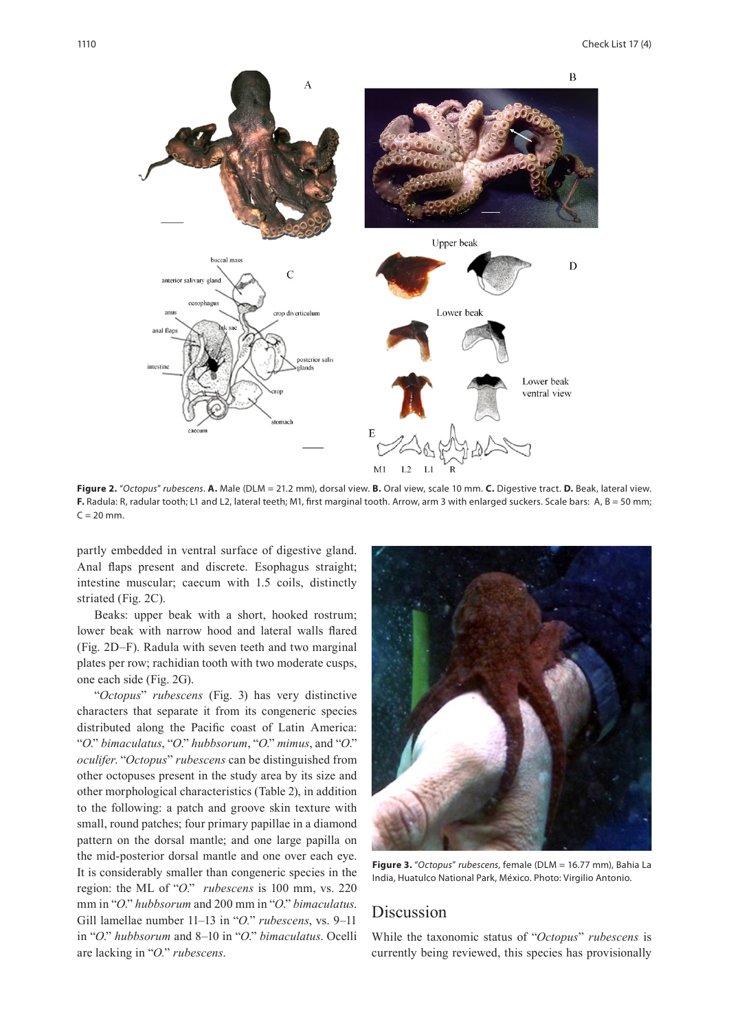

**Figure 2.** "*Octopus*" *rubescens*. **A.** Male (DLM = 21.2 mm), dorsal view. **B.** Oral view, scale 10 mm. **C.** Digestive tract. **D.** Beak, lateral view. F. Radula: R, radular tooth; L1 and L2, lateral teeth; M1, first marginal tooth. Arrow, arm 3 with enlarged suckers. Scale bars: A, B = 50 mm;  $C = 20$  mm.

partly embedded in ventral surface of digestive gland. Anal flaps present and discrete. Esophagus straight; intestine muscular; caecum with 1.5 coils, distinctly striated (Fig. 2C).

Beaks: upper beak with a short, hooked rostrum; lower beak with narrow hood and lateral walls flared (Fig. 2D–F). Radula with seven teeth and two marginal plates per row; rachidian tooth with two moderate cusps, one each side (Fig. 2G).

"*Octopus*" *rubescens* (Fig. 3) has very distinctive characters that separate it from its congeneric species distributed along the Pacific coast of Latin America: "*O*." *bimaculatus*, "*O*." *hubbsorum*, "*O*." *mimus*, and "*O*." *oculifer*. "*Octopus*" *rubescens* can be distinguished from other octopuses present in the study area by its size and other morphological characteristics (Table 2), in addition to the following: a patch and groove skin texture with small, round patches; four primary papillae in a diamond pattern on the dorsal mantle; and one large papilla on the mid-posterior dorsal mantle and one over each eye. It is considerably smaller than congeneric species in the region: the ML of "*O*." *rubescens* is 100 mm, vs. 220 mm in "*O*." *hubbsorum* and 200 mm in "*O*." *bimaculatus*. Gill lamellae number 11–13 in "*O.*" *rubescens*, vs. 9–11 in "*O*." *hubbsorum* and 8–10 in "*O*." *bimaculatus*. Ocelli are lacking in "*O.*" *rubescens*.



**Figure 3.** "*Octopus*" *rubescens*, female (DLM = 16.77 mm), Bahia La India, Huatulco National Park, México. Photo: Virgilio Antonio.

# Discussion

While the taxonomic status of "*Octopus*" *rubescens* is currently being reviewed, this species has provisionally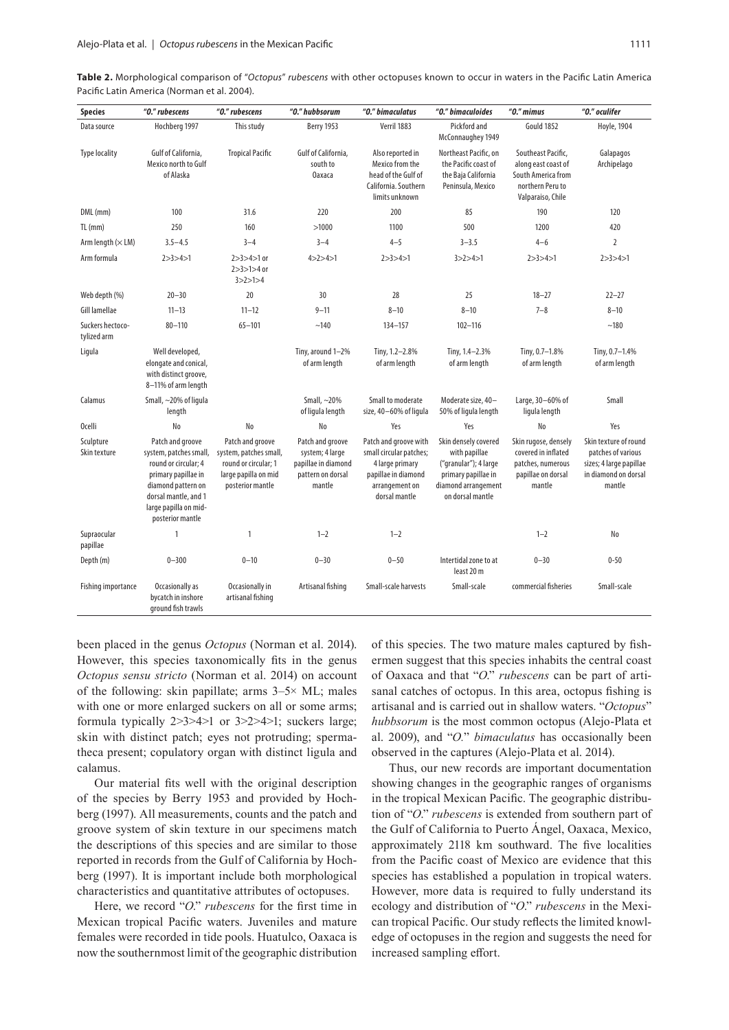| Table 2. Morphological comparison of "Octopus" rubescens with other octopuses known to occur in waters in the Pacific Latin America |  |  |  |  |  |  |
|-------------------------------------------------------------------------------------------------------------------------------------|--|--|--|--|--|--|
| Pacific Latin America (Norman et al. 2004).                                                                                         |  |  |  |  |  |  |

| <b>Species</b>                  | "0." rubescens                                                                                                                                                                       | "0." rubescens                                                                                                 | "0." hubbsorum                                                                            | "0." bimaculatus                                                                                                              | "0." bimaculoides                                                                                                                | $"0."$ mimus                                                                                             | "0." oculifer                                                                                            |
|---------------------------------|--------------------------------------------------------------------------------------------------------------------------------------------------------------------------------------|----------------------------------------------------------------------------------------------------------------|-------------------------------------------------------------------------------------------|-------------------------------------------------------------------------------------------------------------------------------|----------------------------------------------------------------------------------------------------------------------------------|----------------------------------------------------------------------------------------------------------|----------------------------------------------------------------------------------------------------------|
| Data source                     | Hochberg 1997                                                                                                                                                                        | This study                                                                                                     | <b>Berry 1953</b>                                                                         | Verril 1883                                                                                                                   | Pickford and<br>McConnaughey 1949                                                                                                | Gould 1852                                                                                               | <b>Hoyle, 1904</b>                                                                                       |
| <b>Type locality</b>            | Gulf of California,<br>Mexico north to Gulf<br>of Alaska                                                                                                                             | <b>Tropical Pacific</b>                                                                                        | Gulf of California,<br>south to<br><b>Oaxaca</b>                                          | Also reported in<br>Mexico from the<br>head of the Gulf of<br>California. Southern<br>limits unknown                          | Northeast Pacific, on<br>the Pacific coast of<br>the Baja California<br>Peninsula, Mexico                                        | Southeast Pacific,<br>along east coast of<br>South America from<br>northern Peru to<br>Valparaiso, Chile | Galapagos<br>Archipelago                                                                                 |
| DML (mm)                        | 100                                                                                                                                                                                  | 31.6                                                                                                           | 220                                                                                       | 200                                                                                                                           | 85                                                                                                                               | 190                                                                                                      | 120                                                                                                      |
| $TL$ (mm)                       | 250                                                                                                                                                                                  | 160                                                                                                            | >1000                                                                                     | 1100                                                                                                                          | 500                                                                                                                              | 1200                                                                                                     | 420                                                                                                      |
| Arm length $(\times LM)$        | $3.5 - 4.5$                                                                                                                                                                          | $3 - 4$                                                                                                        | $3 - 4$                                                                                   | $4 - 5$                                                                                                                       | $3 - 3.5$                                                                                                                        | $4 - 6$                                                                                                  | $\overline{2}$                                                                                           |
| Arm formula                     | 2 > 3 > 4 > 1                                                                                                                                                                        | $2 > 3 > 4 > 1$ or<br>$2 > 3 > 1 > 4$ or<br>3 > 2 > 1 > 4                                                      | 4 > 2 > 4 > 1                                                                             | 2 > 3 > 4 > 1                                                                                                                 | 3 > 2 > 4 > 1                                                                                                                    | 2 > 3 > 4 > 1                                                                                            | 2 > 3 > 4 > 1                                                                                            |
| Web depth (%)                   | $20 - 30$                                                                                                                                                                            | 20                                                                                                             | 30                                                                                        | 28                                                                                                                            | 25                                                                                                                               | $18 - 27$                                                                                                | $22 - 27$                                                                                                |
| Gill lamellae                   | $11 - 13$                                                                                                                                                                            | $11 - 12$                                                                                                      | $9 - 11$                                                                                  | $8 - 10$                                                                                                                      | $8 - 10$                                                                                                                         | $7 - 8$                                                                                                  | $8 - 10$                                                                                                 |
| Suckers hectoco-<br>tylized arm | $80 - 110$                                                                                                                                                                           | $65 - 101$                                                                                                     | ~140                                                                                      | $134 - 157$                                                                                                                   | $102 - 116$                                                                                                                      |                                                                                                          | ~180                                                                                                     |
| Ligula                          | Well developed,<br>elongate and conical,<br>with distinct groove,<br>8-11% of arm length                                                                                             |                                                                                                                | Tiny, around 1-2%<br>of arm length                                                        | Tiny, 1.2-2.8%<br>of arm length                                                                                               | Tiny, 1.4-2.3%<br>of arm length                                                                                                  | Tiny, 0.7-1.8%<br>of arm length                                                                          | Tiny, 0.7-1.4%<br>of arm length                                                                          |
| Calamus                         | Small, ~20% of ligula<br>length                                                                                                                                                      |                                                                                                                | Small, $\sim$ 20%<br>of liqula length                                                     | Small to moderate<br>size, 40-60% of liqula                                                                                   | Moderate size, 40-<br>50% of ligula length                                                                                       | Large, 30-60% of<br>ligula length                                                                        | Small                                                                                                    |
| Ocelli                          | No                                                                                                                                                                                   | No                                                                                                             | No                                                                                        | Yes                                                                                                                           | Yes                                                                                                                              | No                                                                                                       | Yes                                                                                                      |
| Sculpture<br>Skin texture       | Patch and groove<br>system, patches small,<br>round or circular; 4<br>primary papillae in<br>diamond pattern on<br>dorsal mantle, and 1<br>large papilla on mid-<br>posterior mantle | Patch and groove<br>system, patches small,<br>round or circular; 1<br>large papilla on mid<br>posterior mantle | Patch and groove<br>system; 4 large<br>papillae in diamond<br>pattern on dorsal<br>mantle | Patch and groove with<br>small circular patches;<br>4 large primary<br>papillae in diamond<br>arrangement on<br>dorsal mantle | Skin densely covered<br>with papillae<br>("granular"); 4 large<br>primary papillae in<br>diamond arrangement<br>on dorsal mantle | Skin rugose, densely<br>covered in inflated<br>patches, numerous<br>papillae on dorsal<br>mantle         | Skin texture of round<br>patches of various<br>sizes; 4 large papillae<br>in diamond on dorsal<br>mantle |
| Supraocular<br>papillae         | 1                                                                                                                                                                                    | 1                                                                                                              | $1 - 2$                                                                                   | $1 - 2$                                                                                                                       |                                                                                                                                  | $1 - 2$                                                                                                  | No                                                                                                       |
| Depth (m)                       | $0 - 300$                                                                                                                                                                            | $0 - 10$                                                                                                       | $0 - 30$                                                                                  | $0 - 50$                                                                                                                      | Intertidal zone to at<br>least 20 m                                                                                              | $0 - 30$                                                                                                 | $0 - 50$                                                                                                 |
| Fishing importance              | Occasionally as<br>bycatch in inshore<br>ground fish trawls                                                                                                                          | Occasionally in<br>artisanal fishing                                                                           | Artisanal fishing                                                                         | Small-scale harvests                                                                                                          | Small-scale                                                                                                                      | commercial fisheries                                                                                     | Small-scale                                                                                              |

been placed in the genus *Octopus* (Norman et al. 2014). However, this species taxonomically fits in the genus *Octopus sensu stricto* (Norman et al. 2014) on account of the following: skin papillate; arms  $3-5\times$  ML; males with one or more enlarged suckers on all or some arms; formula typically 2>3>4>1 or 3>2>4>1; suckers large; skin with distinct patch; eyes not protruding; spermatheca present; copulatory organ with distinct ligula and calamus.

Our material fits well with the original description of the species by Berry 1953 and provided by Hochberg (1997). All measurements, counts and the patch and groove system of skin texture in our specimens match the descriptions of this species and are similar to those reported in records from the Gulf of California by Hochberg (1997). It is important include both morphological characteristics and quantitative attributes of octopuses.

Here, we record "*O*." *rubescens* for the first time in Mexican tropical Pacific waters. Juveniles and mature females were recorded in tide pools. Huatulco, Oaxaca is now the southernmost limit of the geographic distribution

of this species. The two mature males captured by fishermen suggest that this species inhabits the central coast of Oaxaca and that "*O*." *rubescens* can be part of artisanal catches of octopus. In this area, octopus fishing is artisanal and is carried out in shallow waters. "*Octopus*" *hubbsorum* is the most common octopus (Alejo-Plata et al. 2009), and "*O.*" *bimaculatus* has occasionally been observed in the captures (Alejo-Plata et al. 2014).

Thus, our new records are important documentation showing changes in the geographic ranges of organisms in the tropical Mexican Pacific. The geographic distribution of "*O*." *rubescens* is extended from southern part of the Gulf of California to Puerto Ángel, Oaxaca, Mexico, approximately 2118 km southward. The five localities from the Pacific coast of Mexico are evidence that this species has established a population in tropical waters. However, more data is required to fully understand its ecology and distribution of "*O*." *rubescens* in the Mexican tropical Pacific. Our study reflects the limited knowledge of octopuses in the region and suggests the need for increased sampling effort.